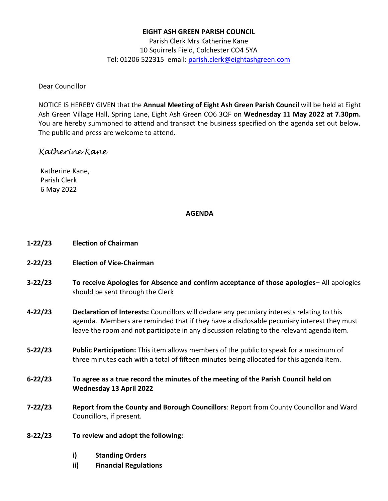### **EIGHT ASH GREEN PARISH COUNCIL**

Parish Clerk Mrs Katherine Kane 10 Squirrels Field, Colchester CO4 5YA Tel: 01206 522315 email: [parish.clerk@eightashgreen.com](mailto:parish.clerk@eightashgreen.com)

### Dear Councillor

NOTICE IS HEREBY GIVEN that the **Annual Meeting of Eight Ash Green Parish Council** will be held at Eight Ash Green Village Hall, Spring Lane, Eight Ash Green CO6 3QF on **Wednesday 11 May 2022 at 7.30pm.** You are hereby summoned to attend and transact the business specified on the agenda set out below. The public and press are welcome to attend.

## *Katherine Kane*

Katherine Kane, Parish Clerk 6 May 2022

### **AGENDA**

- **1-22/23 Election of Chairman**
- **2-22/23 Election of Vice-Chairman**
- **3-22/23 To receive Apologies for Absence and confirm acceptance of those apologies–** All apologies should be sent through the Clerk
- **4-22/23 Declaration of Interests:** Councillors will declare any pecuniary interests relating to this agenda. Members are reminded that if they have a disclosable pecuniary interest they must leave the room and not participate in any discussion relating to the relevant agenda item.
- **5-22/23 Public Participation:** This item allows members of the public to speak for a maximum of three minutes each with a total of fifteen minutes being allocated for this agenda item.
- **6-22/23 To agree as a true record the minutes of the meeting of the Parish Council held on Wednesday 13 April 2022**
- **7-22/23 Report from the County and Borough Councillors**: Report from County Councillor and Ward Councillors, if present.
- **8-22/23 To review and adopt the following:**
	- **i) Standing Orders**
	- **ii) Financial Regulations**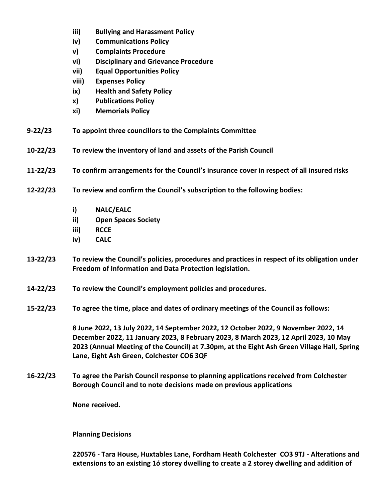- **iii) Bullying and Harassment Policy**
- **iv) Communications Policy**
- **v) Complaints Procedure**
- **vi) Disciplinary and Grievance Procedure**
- **vii) Equal Opportunities Policy**
- **viii) Expenses Policy**
- **ix) Health and Safety Policy**
- **x) Publications Policy**
- **xi) Memorials Policy**
- **9-22/23 To appoint three councillors to the Complaints Committee**
- **10-22/23 To review the inventory of land and assets of the Parish Council**
- **11-22/23 To confirm arrangements for the Council's insurance cover in respect of all insured risks**
- **12-22/23 To review and confirm the Council's subscription to the following bodies:**
	- **i) NALC/EALC**
	- **ii) Open Spaces Society**
	- **iii) RCCE**
	- **iv) CALC**
- **13-22/23 To review the Council's policies, procedures and practices in respect of its obligation under Freedom of Information and Data Protection legislation.**
- **14-22/23 To review the Council's employment policies and procedures.**
- **15-22/23 To agree the time, place and dates of ordinary meetings of the Council as follows:**

**8 June 2022, 13 July 2022, 14 September 2022, 12 October 2022, 9 November 2022, 14 December 2022, 11 January 2023, 8 February 2023, 8 March 2023, 12 April 2023, 10 May 2023 (Annual Meeting of the Council) at 7.30pm, at the Eight Ash Green Village Hall, Spring Lane, Eight Ash Green, Colchester CO6 3QF**

**16-22/23 To agree the Parish Council response to planning applications received from Colchester Borough Council and to note decisions made on previous applications**

**None received.**

**Planning Decisions**

**220576 - Tara House, Huxtables Lane, Fordham Heath Colchester CO3 9TJ - Alterations and extensions to an existing 1ó storey dwelling to create a 2 storey dwelling and addition of**